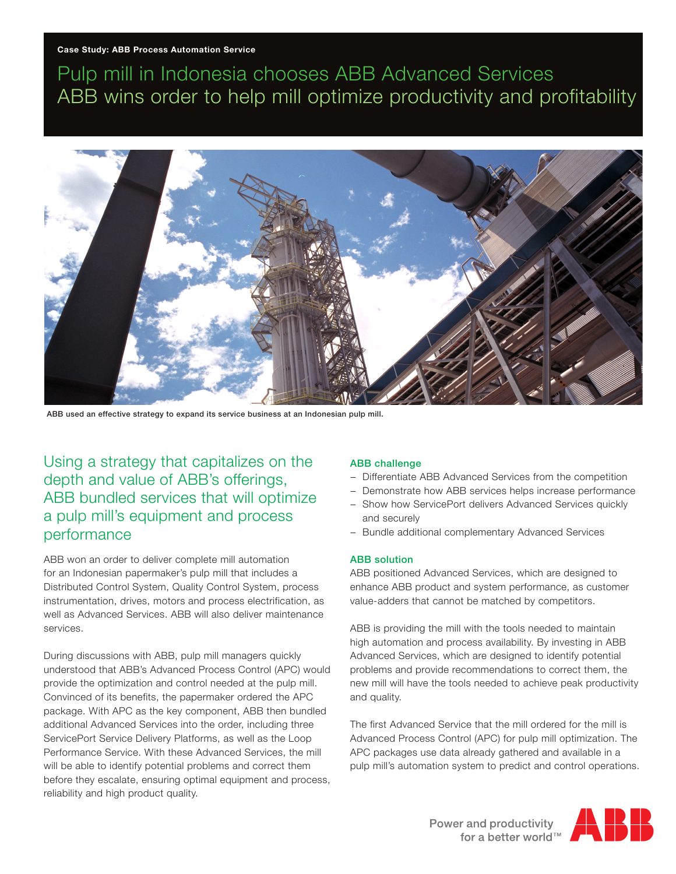# Pulp mill in Indonesia chooses ABB Advanced Services ABB wins order to help mill optimize productivity and profitability



ABB used an effective strategy to expand its service business at an Indonesian pulp mill.

Using a strategy that capitalizes on the depth and value of ABB's offerings, ABB bundled services that will optimize a pulp mill's equipment and process performance

ABB won an order to deliver complete mill automation for an Indonesian papermaker's pulp mill that includes a Distributed Control System, Quality Control System, process instrumentation, drives, motors and process electrification, as well as Advanced Services. ABB will also deliver maintenance services.

During discussions with ABB, pulp mill managers quickly understood that ABB's Advanced Process Control (APC) would provide the optimization and control needed at the pulp mill. Convinced of its benefits, the papermaker ordered the APC package. With APC as the key component, ABB then bundled additional Advanced Services into the order, including three ServicePort Service Delivery Platforms, as well as the Loop Performance Service. With these Advanced Services, the mill will be able to identify potential problems and correct them before they escalate, ensuring optimal equipment and process, reliability and high product quality.

#### ABB challenge

- − Differentiate ABB Advanced Services from the competition
- − Demonstrate how ABB services helps increase performance
- − Show how ServicePort delivers Advanced Services quickly and securely
- − Bundle additional complementary Advanced Services

#### ABB solution

ABB positioned Advanced Services, which are designed to enhance ABB product and system performance, as customer value-adders that cannot be matched by competitors.

ABB is providing the mill with the tools needed to maintain high automation and process availability. By investing in ABB Advanced Services, which are designed to identify potential problems and provide recommendations to correct them, the new mill will have the tools needed to achieve peak productivity and quality.

The first Advanced Service that the mill ordered for the mill is Advanced Process Control (APC) for pulp mill optimization. The APC packages use data already gathered and available in a pulp mill's automation system to predict and control operations.

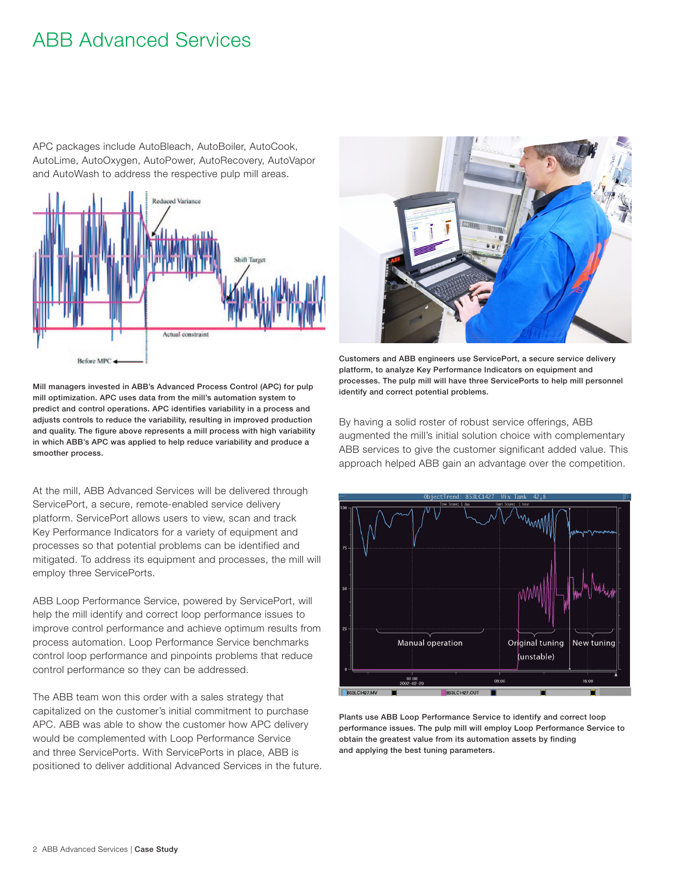## ABB Advanced Services

APC packages include AutoBleach, AutoBoiler, AutoCook, AutoLime, AutoOxygen, AutoPower, AutoRecovery, AutoVapor and AutoWash to address the respective pulp mill areas.



Mill managers invested in ABB's Advanced Process Control (APC) for pulp mill optimization. APC uses data from the mill's automation system to predict and control operations. APC identifies variability in a process and adjusts controls to reduce the variability, resulting in improved production and quality. The figure above represents a mill process with high variability in which ABB's APC was applied to help reduce variability and produce a smoother process.

At the mill, ABB Advanced Services will be delivered through ServicePort, a secure, remote-enabled service delivery platform. ServicePort allows users to view, scan and track Key Performance Indicators for a variety of equipment and processes so that potential problems can be identified and mitigated. To address its equipment and processes, the mill will employ three ServicePorts.

ABB Loop Performance Service, powered by ServicePort, will help the mill identify and correct loop performance issues to improve control performance and achieve optimum results from process automation. Loop Performance Service benchmarks control loop performance and pinpoints problems that reduce control performance so they can be addressed.

The ABB team won this order with a sales strategy that capitalized on the customer's initial commitment to purchase APC. ABB was able to show the customer how APC delivery would be complemented with Loop Performance Service and three ServicePorts. With ServicePorts in place, ABB is positioned to deliver additional Advanced Services in the future.



Customers and ABB engineers use ServicePort, a secure service delivery platform, to analyze Key Performance Indicators on equipment and processes. The pulp mill will have three ServicePorts to help mill personnel identify and correct potential problems.

By having a solid roster of robust service offerings, ABB augmented the mill's initial solution choice with complementary ABB services to give the customer significant added value. This approach helped ABB gain an advantage over the competition.



Plants use ABB Loop Performance Service to identify and correct loop performance issues. The pulp mill will employ Loop Performance Service to obtain the greatest value from its automation assets by finding and applying the best tuning parameters.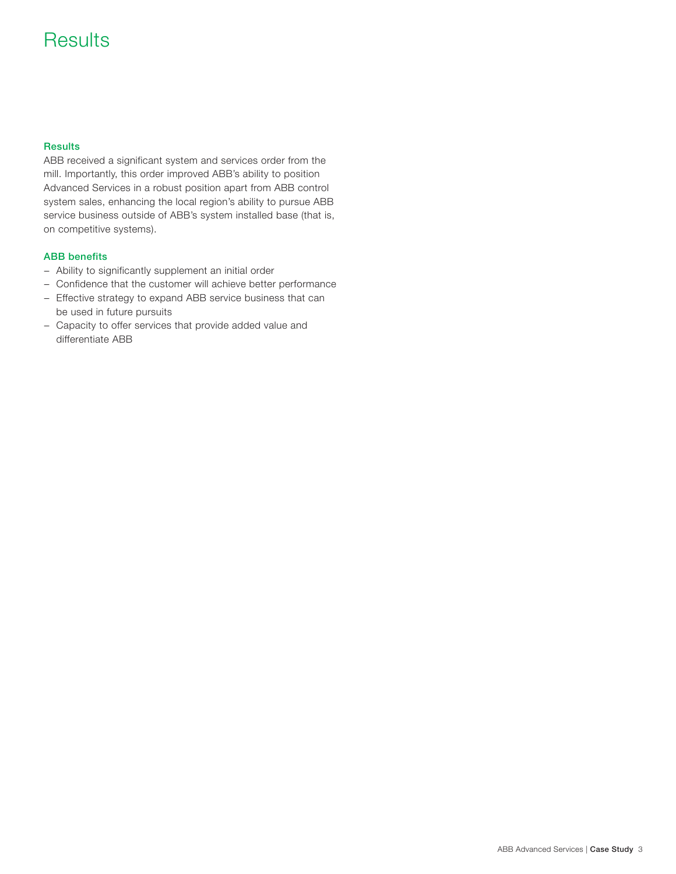## **Results**

## **Results**

ABB received a significant system and services order from the mill. Importantly, this order improved ABB's ability to position Advanced Services in a robust position apart from ABB control system sales, enhancing the local region's ability to pursue ABB service business outside of ABB's system installed base (that is, on competitive systems).

### ABB benefits

- − Ability to significantly supplement an initial order
- − Confidence that the customer will achieve better performance
- − Effective strategy to expand ABB service business that can be used in future pursuits
- − Capacity to offer services that provide added value and differentiate ABB